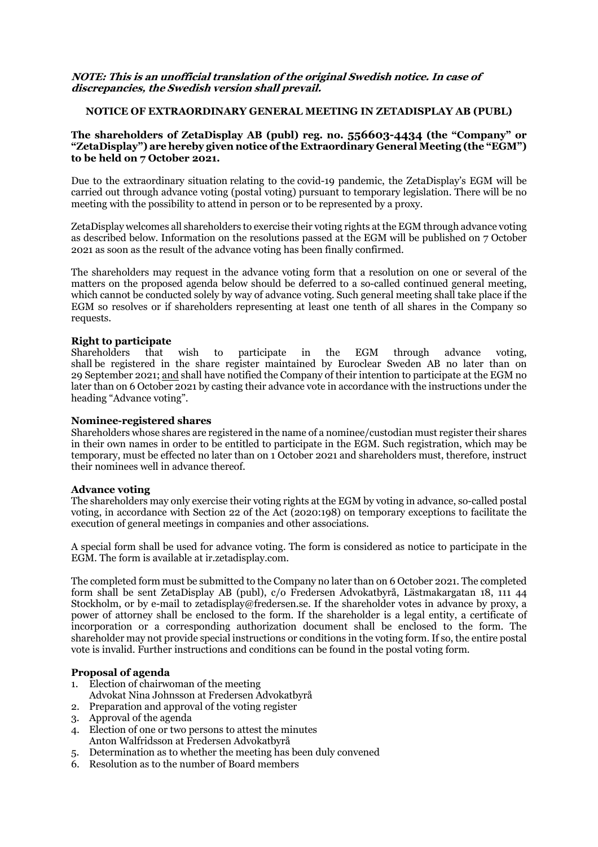### **NOTE: This is an unofficial translation of the original Swedish notice. In case of discrepancies, the Swedish version shall prevail.**

### **NOTICE OF EXTRAORDINARY GENERAL MEETING IN ZETADISPLAY AB (PUBL)**

### **The shareholders of ZetaDisplay AB (publ) reg. no. 556603-4434 (the "Company" or "ZetaDisplay") are hereby given notice ofthe Extraordinary General Meeting (the "EGM") to be held on 7 October 2021.**

Due to the extraordinary situation relating to the covid-19 pandemic, the ZetaDisplay's EGM will be carried out through advance voting (postal voting) pursuant to temporary legislation. There will be no meeting with the possibility to attend in person or to be represented by a proxy.

ZetaDisplay welcomes all shareholders to exercise their voting rights at the EGM through advance voting as described below. Information on the resolutions passed at the EGM will be published on 7 October 2021 as soon as the result of the advance voting has been finally confirmed.

The shareholders may request in the advance voting form that a resolution on one or several of the matters on the proposed agenda below should be deferred to a so-called continued general meeting, which cannot be conducted solely by way of advance voting. Such general meeting shall take place if the EGM so resolves or if shareholders representing at least one tenth of all shares in the Company so requests.

### **Right to participate**

Shareholders that wish to participate in the EGM through advance voting, shall be registered in the share register maintained by Euroclear Sweden AB no later than on 29 September 2021; and shall have notified the Company of their intention to participate at the EGM no later than on 6 October 2021 by casting their advance vote in accordance with the instructions under the heading "Advance voting".

### **Nominee-registered shares**

Shareholders whose shares are registered in the name of a nominee/custodian must register their shares in their own names in order to be entitled to participate in the EGM. Such registration, which may be temporary, must be effected no later than on 1 October 2021 and shareholders must, therefore, instruct their nominees well in advance thereof.

### **Advance voting**

The shareholders may only exercise their voting rights at the EGM by voting in advance, so-called postal voting, in accordance with Section 22 of the Act (2020:198) on temporary exceptions to facilitate the execution of general meetings in companies and other associations.

A special form shall be used for advance voting. The form is considered as notice to participate in the EGM. The form is available at ir.zetadisplay.com.

The completed form must be submitted to the Company no later than on 6 October 2021. The completed form shall be sent ZetaDisplay AB (publ), c/o Fredersen Advokatbyrå, Lästmakargatan 18, 111 44 Stockholm, or by e-mail to zetadisplay@fredersen.se. If the shareholder votes in advance by proxy, a power of attorney shall be enclosed to the form. If the shareholder is a legal entity, a certificate of incorporation or a corresponding authorization document shall be enclosed to the form. The shareholder may not provide special instructions or conditions in the voting form. If so, the entire postal vote is invalid. Further instructions and conditions can be found in the postal voting form.

### **Proposal of agenda**

- 1. Election of chairwoman of the meeting
- Advokat Nina Johnsson at Fredersen Advokatbyrå
- 2. Preparation and approval of the voting register
- 3. Approval of the agenda
- 4. Election of one or two persons to attest the minutes Anton Walfridsson at Fredersen Advokatbyrå
- 5. Determination as to whether the meeting has been duly convened
- 6. Resolution as to the number of Board members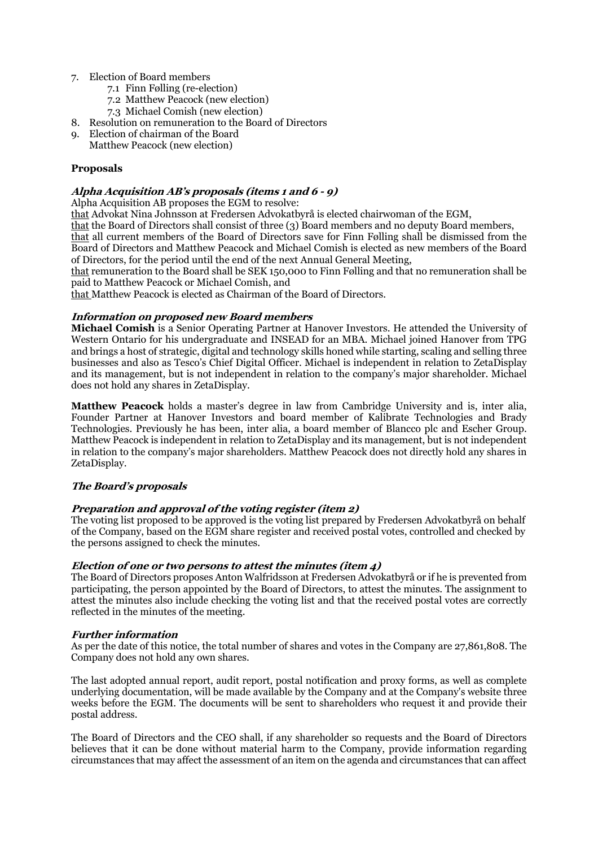- 7. Election of Board members
	- 7.1 Finn Følling (re-election)
	- 7.2 Matthew Peacock (new election)
	- 7.3 Michael Comish (new election)
- 8. Resolution on remuneration to the Board of Directors
- 9. Election of chairman of the Board
- Matthew Peacock (new election)

# **Proposals**

### **Alpha Acquisition AB's proposals (items <sup>1</sup> and 6 - 9)**

Alpha Acquisition AB proposes the EGM to resolve:

that Advokat Nina Johnsson at Fredersen Advokatbyrå is elected chairwoman of the EGM,

that the Board of Directors shall consist of three (3) Board members and no deputy Board members, that all current members of the Board of Directors save for Finn Følling shall be dismissed from the Board of Directors and Matthew Peacock and Michael Comish is elected as new members of the Board of Directors, for the period until the end of the next Annual General Meeting,

that remuneration to the Board shall be SEK 150,000 to Finn Følling and that no remuneration shall be paid to Matthew Peacock or Michael Comish, and

that Matthew Peacock is elected as Chairman of the Board of Directors.

# **Information on proposed new Board members**

**Michael Comish** is a Senior Operating Partner at Hanover Investors. He attended the University of Western Ontario for his undergraduate and INSEAD for an MBA. Michael joined Hanover from TPG and brings a host of strategic, digital and technology skills honed while starting, scaling and selling three businesses and also as Tesco's Chief Digital Officer. Michael is independent in relation to ZetaDisplay and its management, but is not independent in relation to the company's major shareholder. Michael does not hold any shares in ZetaDisplay.

**Matthew Peacock** holds a master's degree in law from Cambridge University and is, inter alia, Founder Partner at Hanover Investors and board member of Kalibrate Technologies and Brady Technologies. Previously he has been, inter alia, a board member of Blancco plc and Escher Group. Matthew Peacock is independent in relation to ZetaDisplay and its management, but is not independent in relation to the company's major shareholders. Matthew Peacock does not directly hold any shares in ZetaDisplay.

# **The Board's proposals**

# **Preparation and approval of the voting register (item 2)**

The voting list proposed to be approved is the voting list prepared by Fredersen Advokatbyrå on behalf of the Company, based on the EGM share register and received postal votes, controlled and checked by the persons assigned to check the minutes.

# **Election of one or two persons to attest the minutes (item 4)**

The Board of Directors proposes Anton Walfridsson at Fredersen Advokatbyrå or if he is prevented from participating, the person appointed by the Board of Directors, to attest the minutes. The assignment to attest the minutes also include checking the voting list and that the received postal votes are correctly reflected in the minutes of the meeting.

### **Further information**

As per the date of this notice, the total number of shares and votes in the Company are 27,861,808. The Company does not hold any own shares.

The last adopted annual report, audit report, postal notification and proxy forms, as well as complete underlying documentation, will be made available by the Company and at the Company's website three weeks before the EGM. The documents will be sent to shareholders who request it and provide their postal address.

The Board of Directors and the CEO shall, if any shareholder so requests and the Board of Directors believes that it can be done without material harm to the Company, provide information regarding circumstances that may affect the assessment of an item on the agenda and circumstances that can affect